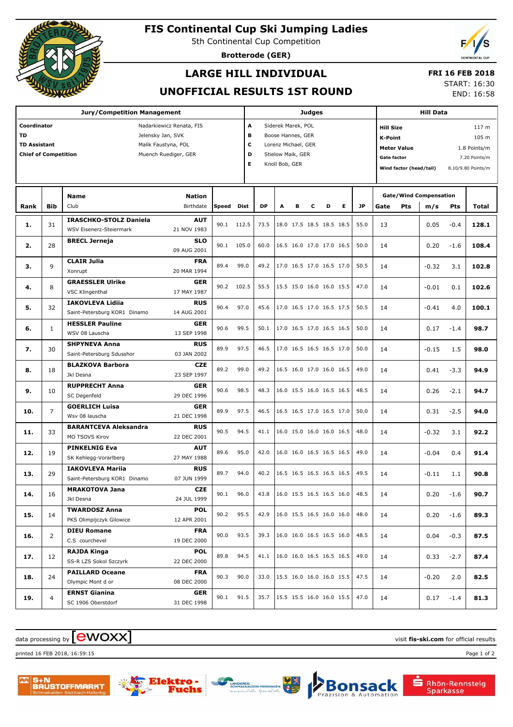

## **FIS Continental Cup Ski Jumping Ladies**

5th Continental Cup Competition

**Brotterode (GER)**



## **LARGE HILL INDIVIDUAL**

#### **FRI 16 FEB 2018**

#### **UNOFFICIAL RESULTS 1ST ROUND**

START: 16:30 END: 16:58

| <b>Jury/Competition Management</b>         |                                                     |                                                  |                            |              |           |                          | <b>Judges</b>           |                          |                                 |                                 |   |                                    |                                     | <b>Hill Data</b> |                                      |             |                                                |  |
|--------------------------------------------|-----------------------------------------------------|--------------------------------------------------|----------------------------|--------------|-----------|--------------------------|-------------------------|--------------------------|---------------------------------|---------------------------------|---|------------------------------------|-------------------------------------|------------------|--------------------------------------|-------------|------------------------------------------------|--|
|                                            | Coordinator<br>Nadarkiewicz Renata, FIS             |                                                  |                            |              |           |                          | A<br>Siderek Marek, POL |                          |                                 |                                 |   |                                    | 117 m<br><b>Hill Size</b>           |                  |                                      |             |                                                |  |
| <b>TD</b><br>Jelensky Jan, SVK             |                                                     |                                                  |                            |              |           | B<br>Boose Hannes, GER   |                         |                          |                                 |                                 |   | 105 m<br><b>K-Point</b>            |                                     |                  |                                      |             |                                                |  |
| <b>TD Assistant</b><br>Malik Faustyna, POL |                                                     |                                                  |                            |              |           | с<br>Lorenz Michael, GER |                         |                          |                                 |                                 |   | <b>Meter Value</b><br>1.8 Points/m |                                     |                  |                                      |             |                                                |  |
|                                            | <b>Chief of Competition</b><br>Muench Ruediger, GER |                                                  |                            |              |           | D                        |                         | Stielow Maik, GER        |                                 |                                 |   |                                    | <b>Gate factor</b><br>7.20 Points/m |                  |                                      |             |                                                |  |
|                                            |                                                     |                                                  |                            |              |           | Е                        | Knoll Bob, GER          |                          |                                 |                                 |   |                                    |                                     |                  |                                      |             | 8.10/9.80 Points/m                             |  |
|                                            |                                                     |                                                  |                            |              |           |                          |                         |                          |                                 |                                 |   | Wind factor (head/tail)            |                                     |                  |                                      |             |                                                |  |
|                                            |                                                     |                                                  |                            |              |           |                          |                         |                          |                                 |                                 |   |                                    |                                     |                  |                                      |             |                                                |  |
| Rank                                       | <b>Bib</b>                                          | <b>Name</b><br>Club                              | <b>Nation</b><br>Birthdate | <b>Speed</b> | Dist      | <b>DP</b>                | A                       | в                        | c                               | D                               | Е | <b>JP</b>                          | Gate                                | Pts              | <b>Gate/Wind Compensation</b><br>m/s | Pts         | Total                                          |  |
|                                            |                                                     | <b>IRASCHKO-STOLZ Daniela</b>                    | <b>AUT</b>                 |              |           |                          |                         |                          |                                 |                                 |   |                                    |                                     |                  |                                      |             |                                                |  |
| 1.                                         | 31                                                  | <b>WSV Eisenerz-Steiermark</b>                   | 21 NOV 1983                | 90.1         | 112.5     | 73.5                     |                         |                          |                                 | 18.0 17.5 18.5 18.5 18.5        |   | 55.0                               | 13                                  |                  | 0.05                                 | $-0.4$      | 128.1                                          |  |
|                                            |                                                     | <b>BRECL Jerneja</b>                             | <b>SLO</b>                 |              |           |                          |                         |                          |                                 |                                 |   |                                    |                                     |                  |                                      |             |                                                |  |
| 2.                                         | 28                                                  |                                                  | 09 AUG 2001                | 90.1         | 105.0     | 60.0                     |                         |                          |                                 | 16.5 16.0 17.0 17.0 16.5        |   | 50.0                               | 14                                  |                  | 0.20                                 | $-1.6$      | 108.4                                          |  |
|                                            | 9                                                   | <b>CLAIR Julia</b>                               | <b>FRA</b>                 | 89.4         | 99.0      | 49.2                     |                         |                          |                                 |                                 |   | 50.5                               |                                     |                  |                                      |             |                                                |  |
| з.                                         |                                                     | Xonrupt                                          | 20 MAR 1994                |              |           |                          |                         | 17.0 16.5 17.0 16.5 17.0 |                                 |                                 |   |                                    | 14                                  |                  | $-0.32$                              | 3.1         | 102.8                                          |  |
|                                            |                                                     | <b>GRAESSLER Ulrike</b>                          | <b>GER</b>                 | 90.2         |           | 55.5                     |                         |                          |                                 | 15.5 15.0 16.0 16.0 15.5        |   | 47.0                               |                                     |                  |                                      |             |                                                |  |
| 4.                                         | 8                                                   | VSC Klingenthal                                  | 17 MAY 1987                |              | 102.5     |                          |                         |                          |                                 |                                 |   |                                    | 14                                  |                  | $-0.01$                              | 0.1         |                                                |  |
| 5.                                         | 32                                                  | <b>IAKOVLEVA Lidija</b>                          | <b>RUS</b>                 | 90.4         | 97.0      | 45.6                     |                         |                          |                                 | 17.0 16.5 17.0 16.5 17.5        |   | 50.5                               | 14                                  |                  | $-0.41$                              | 4.0         |                                                |  |
|                                            |                                                     | Saint-Petersburg KOR1 Dinamo                     | 14 AUG 2001                |              |           |                          |                         |                          |                                 |                                 |   |                                    |                                     |                  |                                      |             |                                                |  |
| 6.                                         | $\mathbf{1}$                                        | <b>HESSLER Pauline</b>                           | <b>GER</b>                 | 90.6         | 99.5      | 50.1                     |                         |                          |                                 | 17.0 16.5 17.0 16.5 16.5        |   | 50.0                               | 14                                  |                  | 0.17                                 | $-1.4$      | 102.6<br>100.1<br>98.7<br>98.0<br>94.9<br>94.7 |  |
|                                            |                                                     | WSV 08 Lauscha                                   | 13 SEP 1998                |              |           |                          |                         |                          |                                 |                                 |   |                                    |                                     |                  |                                      |             |                                                |  |
| 7.                                         | 30                                                  | <b>SHPYNEVA Anna</b>                             | <b>RUS</b>                 | 89.9         | 97.5      | 46.5                     |                         |                          |                                 | 17.0 16.5 16.5 16.5 17.0        |   | 50.0                               | 14                                  |                  | $-0.15$                              | 1.5         |                                                |  |
|                                            |                                                     | Saint-Petersburg Sdusshor                        | 03 JAN 2002                |              |           |                          |                         |                          |                                 |                                 |   |                                    |                                     |                  |                                      |             |                                                |  |
| 8.                                         | 18                                                  | <b>BLAZKOVA Barbora</b>                          | <b>CZE</b>                 | 89.2         | 99.0      | 49.2                     |                         |                          |                                 | 16.5 16.0 17.0 16.0 16.5        |   | 49.0                               | 14                                  |                  | 0.41                                 | $-3.3$      |                                                |  |
|                                            |                                                     | Jkl Desna                                        | 23 SEP 1997                |              |           |                          |                         |                          |                                 |                                 |   |                                    |                                     |                  |                                      |             |                                                |  |
| 9.                                         | 10                                                  | <b>RUPPRECHT Anna</b>                            | <b>GER</b>                 | 90.6         | 98.5      | 48.3                     |                         |                          |                                 | 16.0 15.5 16.0 16.5 16.5        |   | 48.5                               | 14                                  |                  | 0.26                                 | $-2.1$      |                                                |  |
|                                            |                                                     | SC Degenfeld                                     | 29 DEC 1996                |              |           |                          |                         |                          |                                 |                                 |   |                                    |                                     |                  |                                      |             |                                                |  |
| 10.                                        | $\overline{7}$                                      | <b>GOERLICH Luisa</b>                            | <b>GER</b>                 | 89.9         | 97.5      | 46.5                     |                         |                          |                                 | 16.5 16.5 17.0 16.5 17.0        |   | 50.0                               | 14                                  |                  | 0.31                                 | $-2.5$      | 94.0                                           |  |
|                                            |                                                     | Wsv 08 lauscha                                   | 21 DEC 1998                |              |           |                          |                         |                          |                                 |                                 |   |                                    |                                     |                  |                                      |             |                                                |  |
| 11.                                        | 33                                                  | <b>BARANTCEVA Aleksandra</b>                     | <b>RUS</b>                 | 90.5         | 94.5      | 41.1                     |                         |                          |                                 | 16.0 15.0 16.0 16.0 16.5        |   | 48.0                               | 14                                  |                  | $-0.32$                              | 3.1         | 92.2                                           |  |
|                                            |                                                     | MO TSOVS Kirov                                   | 22 DEC 2001                |              |           |                          |                         |                          |                                 |                                 |   |                                    |                                     |                  |                                      |             |                                                |  |
| 12.                                        | 19                                                  | <b>PINKELNIG Eva</b>                             | <b>AUT</b>                 | 89.6         | 95.0      | 42.0                     |                         |                          |                                 | 16.0 16.0 16.5 16.5 16.5        |   | 49.0                               | 14                                  |                  | $-0.04$                              | 0.4         | 91.4                                           |  |
|                                            |                                                     | SK Kehlegg-Vorarlberg                            | 27 MAY 1988                |              |           |                          |                         |                          |                                 |                                 |   |                                    |                                     |                  |                                      |             |                                                |  |
| 13.                                        | 29                                                  | <b>IAKOVLEVA Mariia</b>                          | <b>RUS</b>                 | 89.7         | 94.0      | 40.2                     |                         |                          |                                 | 16.5 16.5 16.5 16.5 16.5        |   | 49.5                               | 14                                  |                  | $-0.11$                              | 1.1         | 90.8                                           |  |
|                                            |                                                     | Saint-Petersburg KOR1 Dinamo                     | 07 JUN 1999                |              |           |                          |                         |                          |                                 |                                 |   |                                    |                                     |                  |                                      |             |                                                |  |
| 14.                                        | 16                                                  | <b>MRAKOTOVA Jana</b>                            | <b>CZE</b>                 |              | 90.1 96.0 |                          |                         |                          |                                 | 43.8 16.0 15.5 16.5 16.5 16.0   |   | 48.5                               | 14                                  |                  |                                      | $0.20 -1.6$ | 90.7                                           |  |
|                                            |                                                     | Jkl Desna                                        | 24 JUL 1999                |              |           |                          |                         |                          |                                 |                                 |   |                                    |                                     |                  |                                      |             |                                                |  |
| 15.                                        | 14                                                  | <b>TWARDOSZ Anna</b><br>PKS Olimpijczyk Gilowice | <b>POL</b><br>12 APR 2001  | 90.2         | 95.5      |                          |                         |                          |                                 | 42.9 16.0 15.5 16.5 16.0 16.0   |   | 48.0                               | 14                                  |                  | 0.20                                 | $-1.6$      | 89.3                                           |  |
|                                            |                                                     | <b>DIEU Romane</b>                               | <b>FRA</b>                 |              |           |                          |                         |                          |                                 |                                 |   |                                    |                                     |                  |                                      |             |                                                |  |
| 16.                                        | $\overline{2}$                                      | C.S courchevel                                   | 19 DEC 2000                | 90.0         | 93.5      |                          |                         |                          |                                 | 39.3 16.0 16.0 16.5 16.5 16.0   |   | 48.5                               | 14                                  |                  | 0.04                                 | $-0.3$      | 87.5                                           |  |
|                                            |                                                     | <b>RAJDA Kinga</b>                               | <b>POL</b>                 |              |           |                          |                         |                          |                                 |                                 |   |                                    |                                     |                  |                                      |             |                                                |  |
| 17.                                        | 12                                                  | SS-R LZS Sokol Szczyrk                           | 22 DEC 2000                | 89.8         | 94.5      |                          |                         |                          | 41.1   16.0 16.0 16.5 16.5 16.5 |                                 |   | 49.0                               | 14                                  |                  | 0.33                                 | $-2.7$      | 87.4                                           |  |
|                                            |                                                     | <b>PAILLARD Oceane</b>                           | <b>FRA</b>                 |              |           |                          |                         |                          |                                 |                                 |   |                                    |                                     |                  |                                      |             |                                                |  |
| 18.                                        | 24                                                  | Olympic Mont d or                                | 08 DEC 2000                | 90.3         | 90.0      | 33.0                     |                         |                          |                                 | 15.5 16.0 16.0 16.0 15.5        |   | 47.5                               | 14                                  |                  | $-0.20$                              | 2.0         | 82.5                                           |  |
|                                            |                                                     | <b>ERNST Gianina</b>                             | <b>GER</b>                 |              |           |                          |                         |                          |                                 |                                 |   |                                    |                                     |                  |                                      |             |                                                |  |
| 19.                                        | 4                                                   | SC 1906 Oberstdorf                               | 31 DEC 1998                | 90.1         | 91.5      |                          |                         |                          |                                 | 35.7   15.5 15.5 16.0 16.0 15.5 |   | 47.0                               | 14                                  |                  | 0.17                                 | $-1.4$      | 81.3                                           |  |
|                                            |                                                     |                                                  |                            |              |           |                          |                         |                          |                                 |                                 |   |                                    |                                     |                  |                                      |             |                                                |  |

# data processing by **CWOXX** and  $\overline{C}$  and  $\overline{C}$  and  $\overline{C}$  and  $\overline{C}$  and  $\overline{C}$  and  $\overline{C}$  and  $\overline{C}$  and  $\overline{C}$  and  $\overline{C}$  and  $\overline{C}$  and  $\overline{C}$  and  $\overline{C}$  and  $\overline{C}$  and  $\overline{C}$  and  $\overline{C}$

printed 16 FEB 2018, 16:59:15 Page 1 of 2